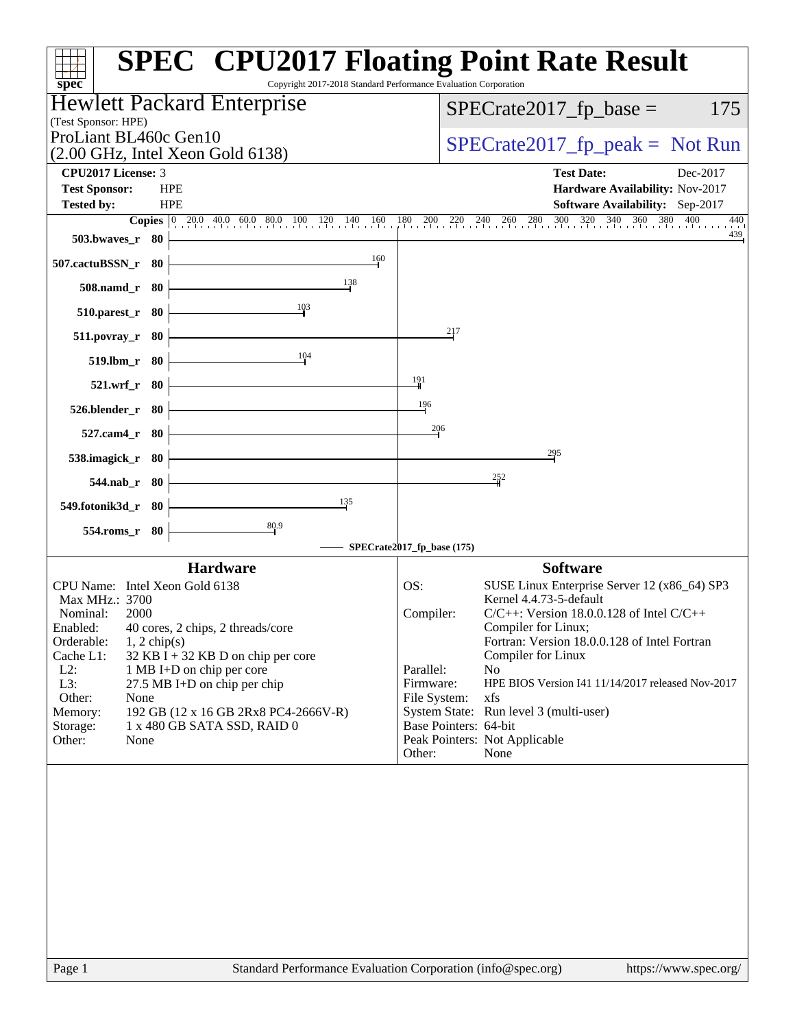| <b>SPEC<sup>®</sup> CPU2017 Floating Point Rate Result</b><br>Copyright 2017-2018 Standard Performance Evaluation Corporation<br>$spec^*$ |                                                                                                             |
|-------------------------------------------------------------------------------------------------------------------------------------------|-------------------------------------------------------------------------------------------------------------|
| Hewlett Packard Enterprise                                                                                                                | $SPECrate2017_fp\_base =$<br>175                                                                            |
| (Test Sponsor: HPE)<br>ProLiant BL460c Gen10                                                                                              |                                                                                                             |
| $(2.00 \text{ GHz}, \text{Intel Xeon Gold } 6138)$                                                                                        | $SPECrate2017_fp\_peak = Not Run$                                                                           |
| CPU2017 License: 3                                                                                                                        | <b>Test Date:</b><br>Dec-2017                                                                               |
| <b>Test Sponsor:</b><br><b>HPE</b>                                                                                                        | Hardware Availability: Nov-2017                                                                             |
| <b>HPE</b><br><b>Tested by:</b><br><b>Copies</b> 0 20.0 40.0 60.0 80.0 100 120 140 160                                                    | <b>Software Availability:</b> Sep-2017<br>$260 - 280 - 300$<br>$\frac{320}{1}$<br>340 360 380<br>400<br>440 |
| 503.bwaves_r 80                                                                                                                           | $\frac{180}{1}$ 200 220 240<br>439                                                                          |
| 160<br>507.cactuBSSN_r 80                                                                                                                 |                                                                                                             |
| 138<br>508.namd_r 80                                                                                                                      |                                                                                                             |
| 103<br>$510.parest_r$ 80                                                                                                                  |                                                                                                             |
| 511.povray_r<br>80                                                                                                                        | 217                                                                                                         |
| 104<br>519.lbm_r 80                                                                                                                       |                                                                                                             |
| 521.wrf_r 80                                                                                                                              | 191                                                                                                         |
| 526.blender_r 80                                                                                                                          | 196                                                                                                         |
| 527.cam4_r 80                                                                                                                             | 206                                                                                                         |
| 538.imagick_r 80                                                                                                                          | 295                                                                                                         |
| $544$ .nab_r 80                                                                                                                           | 252                                                                                                         |
| 135<br>549.fotonik3d_r 80                                                                                                                 |                                                                                                             |
| 80.9<br>554.roms_r 80                                                                                                                     | SPECrate2017_fp_base (175)                                                                                  |
| <b>Hardware</b>                                                                                                                           | <b>Software</b>                                                                                             |
| CPU Name: Intel Xeon Gold 6138                                                                                                            | OS:<br>SUSE Linux Enterprise Server 12 (x86_64) SP3                                                         |
| Max MHz.: 3700                                                                                                                            | Kernel 4.4.73-5-default                                                                                     |
| Nominal:<br>2000<br>Enabled:<br>40 cores, 2 chips, 2 threads/core                                                                         | $C/C++$ : Version 18.0.0.128 of Intel $C/C++$<br>Compiler:<br>Compiler for Linux;                           |
| Orderable:<br>$1, 2$ chip(s)                                                                                                              | Fortran: Version 18.0.0.128 of Intel Fortran                                                                |
| Cache L1:<br>32 KB I + 32 KB D on chip per core                                                                                           | Compiler for Linux                                                                                          |
| $L2$ :<br>1 MB I+D on chip per core<br>L3:<br>27.5 MB I+D on chip per chip                                                                | Parallel:<br>N <sub>o</sub><br>HPE BIOS Version I41 11/14/2017 released Nov-2017<br>Firmware:               |
| Other:<br>None                                                                                                                            | xfs<br>File System:                                                                                         |
| 192 GB (12 x 16 GB 2Rx8 PC4-2666V-R)<br>Memory:                                                                                           | System State: Run level 3 (multi-user)                                                                      |
| Storage:<br>1 x 480 GB SATA SSD, RAID 0                                                                                                   | Base Pointers: 64-bit                                                                                       |
| Other:<br>None                                                                                                                            | Peak Pointers: Not Applicable<br>Other:<br>None                                                             |
|                                                                                                                                           |                                                                                                             |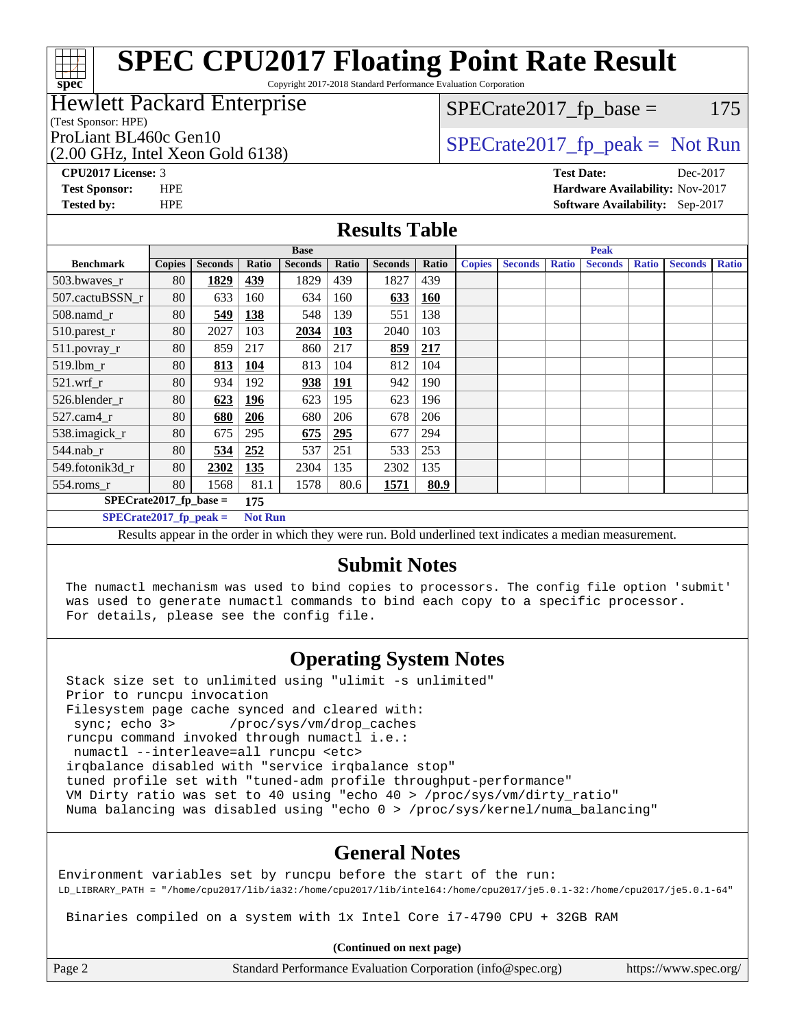# **[SPEC CPU2017 Floating Point Rate Result](http://www.spec.org/auto/cpu2017/Docs/result-fields.html#SPECCPU2017FloatingPointRateResult)**

Copyright 2017-2018 Standard Performance Evaluation Corporation

#### Hewlett Packard Enterprise

(Test Sponsor: HPE)

**[spec](http://www.spec.org/)**

 $SPECTate2017<sub>fr</sub> base = 175$ 

(2.00 GHz, Intel Xeon Gold 6138)

ProLiant BL460c Gen10  $SPECTA 6138$   $SPECTA 6138$   $SPECTA 6138$ 

**[CPU2017 License:](http://www.spec.org/auto/cpu2017/Docs/result-fields.html#CPU2017License)** 3 **[Test Date:](http://www.spec.org/auto/cpu2017/Docs/result-fields.html#TestDate)** Dec-2017 **[Test Sponsor:](http://www.spec.org/auto/cpu2017/Docs/result-fields.html#TestSponsor)** HPE **[Hardware Availability:](http://www.spec.org/auto/cpu2017/Docs/result-fields.html#HardwareAvailability)** Nov-2017 **[Tested by:](http://www.spec.org/auto/cpu2017/Docs/result-fields.html#Testedby)** HPE **[Software Availability:](http://www.spec.org/auto/cpu2017/Docs/result-fields.html#SoftwareAvailability)** Sep-2017

#### **[Results Table](http://www.spec.org/auto/cpu2017/Docs/result-fields.html#ResultsTable)**

|                                 | <b>Base</b>   |                |       |                |            | <b>Peak</b>    |       |               |                |              |                |              |                |              |
|---------------------------------|---------------|----------------|-------|----------------|------------|----------------|-------|---------------|----------------|--------------|----------------|--------------|----------------|--------------|
| <b>Benchmark</b>                | <b>Copies</b> | <b>Seconds</b> | Ratio | <b>Seconds</b> | Ratio      | <b>Seconds</b> | Ratio | <b>Copies</b> | <b>Seconds</b> | <b>Ratio</b> | <b>Seconds</b> | <b>Ratio</b> | <b>Seconds</b> | <b>Ratio</b> |
| 503.bwayes r                    | 80            | 1829           | 439   | 1829           | 439        | 1827           | 439   |               |                |              |                |              |                |              |
| 507.cactuBSSN r                 | 80            | 633            | 160   | 634            | 160        | 633            | 160   |               |                |              |                |              |                |              |
| $508$ .namd $r$                 | 80            | 549            | 138   | 548            | 139        | 551            | 138   |               |                |              |                |              |                |              |
| 510.parest_r                    | 80            | 2027           | 103   | 2034           | 103        | 2040           | 103   |               |                |              |                |              |                |              |
| 511.povray_r                    | 80            | 859            | 217   | 860            | 217        | 859            | 217   |               |                |              |                |              |                |              |
| 519.lbm r                       | 80            | 813            | 104   | 813            | 104        | 812            | 104   |               |                |              |                |              |                |              |
| $521$ .wrf r                    | 80            | 934            | 192   | 938            | <u>191</u> | 942            | 190   |               |                |              |                |              |                |              |
| 526.blender r                   | 80            | 623            | 196   | 623            | 195        | 623            | 196   |               |                |              |                |              |                |              |
| $527.cam4_r$                    | 80            | 680            | 206   | 680            | 206        | 678            | 206   |               |                |              |                |              |                |              |
| 538.imagick_r                   | 80            | 675            | 295   | 675            | 295        | 677            | 294   |               |                |              |                |              |                |              |
| $544$ .nab_r                    | 80            | 534            | 252   | 537            | 251        | 533            | 253   |               |                |              |                |              |                |              |
| 549.fotonik3d r                 | 80            | 2302           | 135   | 2304           | 135        | 2302           | 135   |               |                |              |                |              |                |              |
| $554$ .roms_r                   | 80            | 1568           | 81.1  | 1578           | 80.6       | 1571           | 80.9  |               |                |              |                |              |                |              |
| $SPECrate2017$ fp base =<br>175 |               |                |       |                |            |                |       |               |                |              |                |              |                |              |
| $SPECrate2017$ fp peak =        |               |                |       | <b>Not Run</b> |            |                |       |               |                |              |                |              |                |              |

Results appear in the [order in which they were run.](http://www.spec.org/auto/cpu2017/Docs/result-fields.html#RunOrder) Bold underlined text [indicates a median measurement.](http://www.spec.org/auto/cpu2017/Docs/result-fields.html#Median)

#### **[Submit Notes](http://www.spec.org/auto/cpu2017/Docs/result-fields.html#SubmitNotes)**

 The numactl mechanism was used to bind copies to processors. The config file option 'submit' was used to generate numactl commands to bind each copy to a specific processor. For details, please see the config file.

### **[Operating System Notes](http://www.spec.org/auto/cpu2017/Docs/result-fields.html#OperatingSystemNotes)**

 Stack size set to unlimited using "ulimit -s unlimited" Prior to runcpu invocation Filesystem page cache synced and cleared with: sync; echo 3> /proc/sys/vm/drop\_caches runcpu command invoked through numactl i.e.: numactl --interleave=all runcpu <etc> irqbalance disabled with "service irqbalance stop" tuned profile set with "tuned-adm profile throughput-performance" VM Dirty ratio was set to 40 using "echo 40 > /proc/sys/vm/dirty\_ratio" Numa balancing was disabled using "echo 0 > /proc/sys/kernel/numa\_balancing"

#### **[General Notes](http://www.spec.org/auto/cpu2017/Docs/result-fields.html#GeneralNotes)**

Environment variables set by runcpu before the start of the run: LD\_LIBRARY\_PATH = "/home/cpu2017/lib/ia32:/home/cpu2017/lib/intel64:/home/cpu2017/je5.0.1-32:/home/cpu2017/je5.0.1-64"

Binaries compiled on a system with 1x Intel Core i7-4790 CPU + 32GB RAM

**(Continued on next page)**

Page 2 Standard Performance Evaluation Corporation [\(info@spec.org\)](mailto:info@spec.org) <https://www.spec.org/>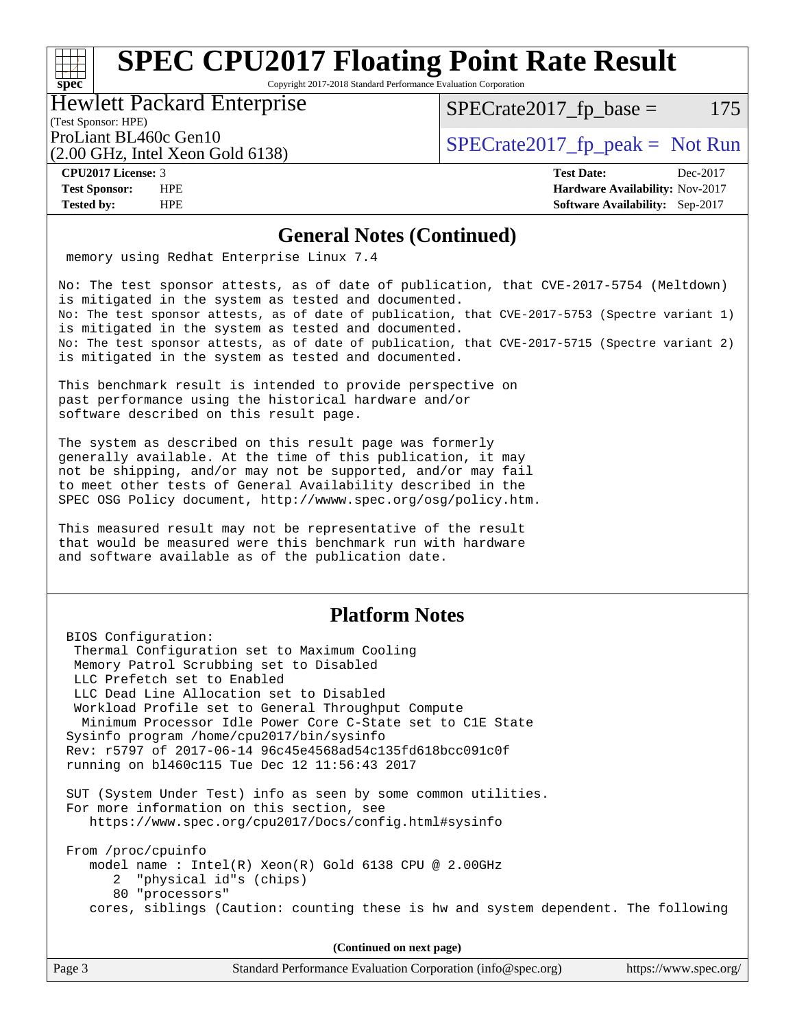# **[SPEC CPU2017 Floating Point Rate Result](http://www.spec.org/auto/cpu2017/Docs/result-fields.html#SPECCPU2017FloatingPointRateResult)**

Copyright 2017-2018 Standard Performance Evaluation Corporation

#### Hewlett Packard Enterprise

 $SPECTate2017<sub>fr</sub> base = 175$ 

#### (Test Sponsor: HPE)

(2.00 GHz, Intel Xeon Gold 6138)

ProLiant BL460c Gen10  $SPECTA 61462017$   $\int$  SPECrate2017  $\int$  peak = Not Run

**[spec](http://www.spec.org/)**

**[CPU2017 License:](http://www.spec.org/auto/cpu2017/Docs/result-fields.html#CPU2017License)** 3 **[Test Date:](http://www.spec.org/auto/cpu2017/Docs/result-fields.html#TestDate)** Dec-2017 **[Test Sponsor:](http://www.spec.org/auto/cpu2017/Docs/result-fields.html#TestSponsor)** HPE **[Hardware Availability:](http://www.spec.org/auto/cpu2017/Docs/result-fields.html#HardwareAvailability)** Nov-2017 **[Tested by:](http://www.spec.org/auto/cpu2017/Docs/result-fields.html#Testedby)** HPE **[Software Availability:](http://www.spec.org/auto/cpu2017/Docs/result-fields.html#SoftwareAvailability)** Sep-2017

#### **[General Notes \(Continued\)](http://www.spec.org/auto/cpu2017/Docs/result-fields.html#GeneralNotes)**

memory using Redhat Enterprise Linux 7.4

No: The test sponsor attests, as of date of publication, that CVE-2017-5754 (Meltdown) is mitigated in the system as tested and documented. No: The test sponsor attests, as of date of publication, that CVE-2017-5753 (Spectre variant 1) is mitigated in the system as tested and documented. No: The test sponsor attests, as of date of publication, that CVE-2017-5715 (Spectre variant 2) is mitigated in the system as tested and documented.

This benchmark result is intended to provide perspective on past performance using the historical hardware and/or software described on this result page.

The system as described on this result page was formerly generally available. At the time of this publication, it may not be shipping, and/or may not be supported, and/or may fail to meet other tests of General Availability described in the SPEC OSG Policy document, <http://wwww.spec.org/osg/policy.htm.>

This measured result may not be representative of the result that would be measured were this benchmark run with hardware and software available as of the publication date.

#### **[Platform Notes](http://www.spec.org/auto/cpu2017/Docs/result-fields.html#PlatformNotes)**

 BIOS Configuration: Thermal Configuration set to Maximum Cooling Memory Patrol Scrubbing set to Disabled LLC Prefetch set to Enabled LLC Dead Line Allocation set to Disabled Workload Profile set to General Throughput Compute Minimum Processor Idle Power Core C-State set to C1E State Sysinfo program /home/cpu2017/bin/sysinfo Rev: r5797 of 2017-06-14 96c45e4568ad54c135fd618bcc091c0f running on bl460c115 Tue Dec 12 11:56:43 2017 SUT (System Under Test) info as seen by some common utilities. For more information on this section, see <https://www.spec.org/cpu2017/Docs/config.html#sysinfo> From /proc/cpuinfo model name : Intel(R) Xeon(R) Gold 6138 CPU @ 2.00GHz 2 "physical id"s (chips) 80 "processors" cores, siblings (Caution: counting these is hw and system dependent. The following

**(Continued on next page)**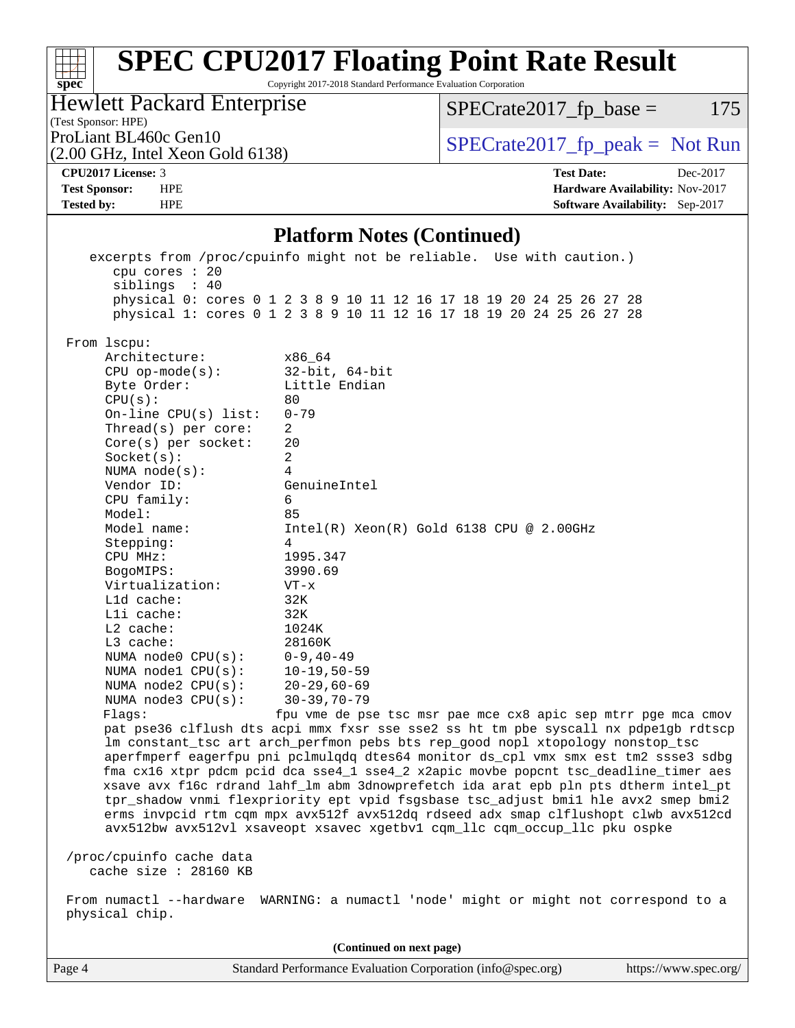#### **[spec](http://www.spec.org/) [SPEC CPU2017 Floating Point Rate Result](http://www.spec.org/auto/cpu2017/Docs/result-fields.html#SPECCPU2017FloatingPointRateResult)** Copyright 2017-2018 Standard Performance Evaluation Corporation (Test Sponsor: HPE) Hewlett Packard Enterprise (2.00 GHz, Intel Xeon Gold 6138) ProLiant BL460c Gen10  $\text{SPECrate2017\_fp\_peak} = \text{Not Run}$  $SPECTate2017<sub>fr</sub> base = 175$ **[CPU2017 License:](http://www.spec.org/auto/cpu2017/Docs/result-fields.html#CPU2017License)** 3 **[Test Date:](http://www.spec.org/auto/cpu2017/Docs/result-fields.html#TestDate)** Dec-2017 **[Test Sponsor:](http://www.spec.org/auto/cpu2017/Docs/result-fields.html#TestSponsor)** HPE **[Hardware Availability:](http://www.spec.org/auto/cpu2017/Docs/result-fields.html#HardwareAvailability)** Nov-2017 **[Tested by:](http://www.spec.org/auto/cpu2017/Docs/result-fields.html#Testedby)** HPE **[Software Availability:](http://www.spec.org/auto/cpu2017/Docs/result-fields.html#SoftwareAvailability)** Sep-2017 **[Platform Notes \(Continued\)](http://www.spec.org/auto/cpu2017/Docs/result-fields.html#PlatformNotes)** excerpts from /proc/cpuinfo might not be reliable. Use with caution.) cpu cores : 20 siblings : 40 physical 0: cores 0 1 2 3 8 9 10 11 12 16 17 18 19 20 24 25 26 27 28 physical 1: cores 0 1 2 3 8 9 10 11 12 16 17 18 19 20 24 25 26 27 28 From lscpu: Architecture: x86\_64 CPU op-mode(s): 32-bit, 64-bit Byte Order: Little Endian  $CPU(s):$  80 On-line CPU(s) list: 0-79 Thread(s) per core: 2 Core(s) per socket: 20 Socket(s): 2 NUMA node(s): 4 Vendor ID: GenuineIntel CPU family: 6 Model: 85 Model name: Intel(R) Xeon(R) Gold 6138 CPU @ 2.00GHz Stepping: 4 CPU MHz: 1995.347 BogoMIPS: 3990.69 Virtualization: VT-x L1d cache: 32K L1i cache: 32K L2 cache: 1024K L3 cache: 28160K NUMA node0 CPU(s): 0-9,40-49 NUMA node1 CPU(s): 10-19,50-59 NUMA node2 CPU(s): 20-29,60-69 NUMA node3 CPU(s): 30-39,70-79 Flags: fpu vme de pse tsc msr pae mce cx8 apic sep mtrr pge mca cmov pat pse36 clflush dts acpi mmx fxsr sse sse2 ss ht tm pbe syscall nx pdpe1gb rdtscp lm constant\_tsc art arch\_perfmon pebs bts rep\_good nopl xtopology nonstop\_tsc aperfmperf eagerfpu pni pclmulqdq dtes64 monitor ds\_cpl vmx smx est tm2 ssse3 sdbg fma cx16 xtpr pdcm pcid dca sse4\_1 sse4\_2 x2apic movbe popcnt tsc\_deadline\_timer aes xsave avx f16c rdrand lahf\_lm abm 3dnowprefetch ida arat epb pln pts dtherm intel\_pt tpr\_shadow vnmi flexpriority ept vpid fsgsbase tsc\_adjust bmi1 hle avx2 smep bmi2 erms invpcid rtm cqm mpx avx512f avx512dq rdseed adx smap clflushopt clwb avx512cd avx512bw avx512vl xsaveopt xsavec xgetbv1 cqm\_llc cqm\_occup\_llc pku ospke /proc/cpuinfo cache data cache size : 28160 KB From numactl --hardware WARNING: a numactl 'node' might or might not correspond to a physical chip. **(Continued on next page)**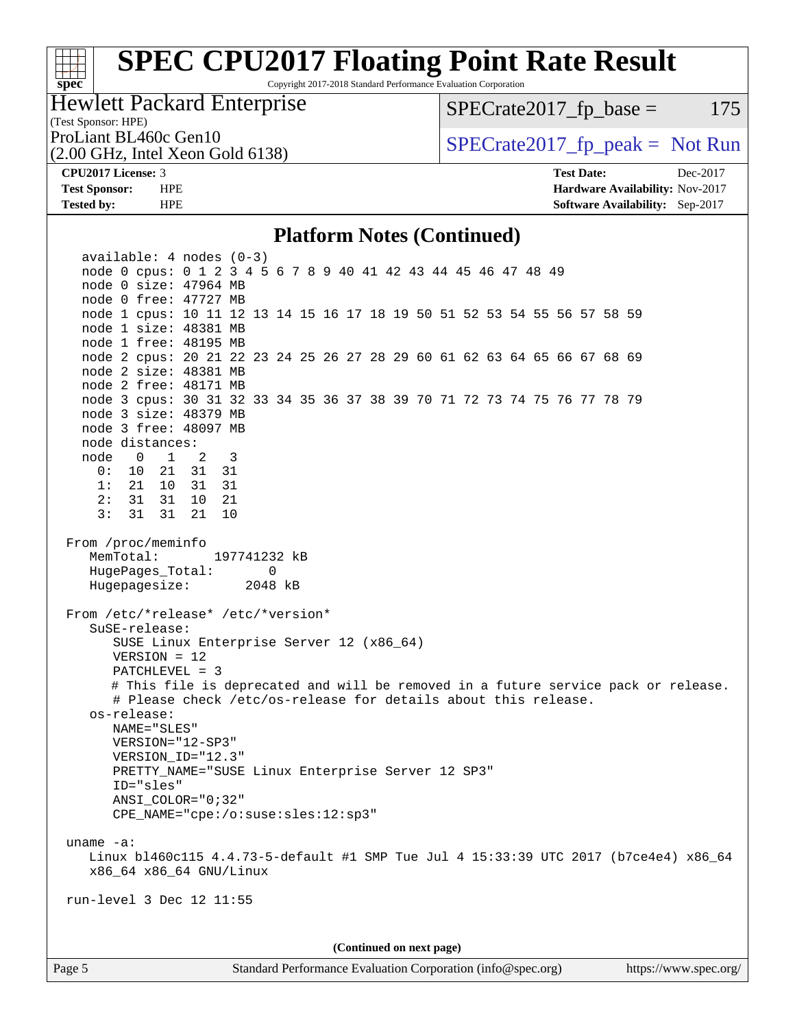#### **[SPEC CPU2017 Floating Point Rate Result](http://www.spec.org/auto/cpu2017/Docs/result-fields.html#SPECCPU2017FloatingPointRateResult)** Copyright 2017-2018 Standard Performance Evaluation Corporation

### Hewlett Packard Enterprise

(2.00 GHz, Intel Xeon Gold 6138)

 $SPECTate2017<sub>fr</sub> base = 175$ 

ProLiant BL460c Gen10  $SPECTA 61462017$   $\int$  SPECrate2017  $\int$  peak = Not Run

**[spec](http://www.spec.org/)**

**[CPU2017 License:](http://www.spec.org/auto/cpu2017/Docs/result-fields.html#CPU2017License)** 3 **[Test Date:](http://www.spec.org/auto/cpu2017/Docs/result-fields.html#TestDate)** Dec-2017 **[Test Sponsor:](http://www.spec.org/auto/cpu2017/Docs/result-fields.html#TestSponsor)** HPE **[Hardware Availability:](http://www.spec.org/auto/cpu2017/Docs/result-fields.html#HardwareAvailability)** Nov-2017 **[Tested by:](http://www.spec.org/auto/cpu2017/Docs/result-fields.html#Testedby)** HPE **[Software Availability:](http://www.spec.org/auto/cpu2017/Docs/result-fields.html#SoftwareAvailability)** Sep-2017

#### **[Platform Notes \(Continued\)](http://www.spec.org/auto/cpu2017/Docs/result-fields.html#PlatformNotes)**

 available: 4 nodes (0-3) node 0 cpus: 0 1 2 3 4 5 6 7 8 9 40 41 42 43 44 45 46 47 48 49 node 0 size: 47964 MB node 0 free: 47727 MB node 1 cpus: 10 11 12 13 14 15 16 17 18 19 50 51 52 53 54 55 56 57 58 59 node 1 size: 48381 MB node 1 free: 48195 MB node 2 cpus: 20 21 22 23 24 25 26 27 28 29 60 61 62 63 64 65 66 67 68 69 node 2 size: 48381 MB node 2 free: 48171 MB node 3 cpus: 30 31 32 33 34 35 36 37 38 39 70 71 72 73 74 75 76 77 78 79 node 3 size: 48379 MB node 3 free: 48097 MB node distances: node 0 1 2 3 0: 10 21 31 31 1: 21 10 31 31 2: 31 31 10 21 3: 31 31 21 10 From /proc/meminfo MemTotal: 197741232 kB HugePages\_Total: 0 Hugepagesize: 2048 kB From /etc/\*release\* /etc/\*version\* SuSE-release: SUSE Linux Enterprise Server 12 (x86\_64) VERSION = 12 PATCHLEVEL = 3 # This file is deprecated and will be removed in a future service pack or release. # Please check /etc/os-release for details about this release. os-release: NAME="SLES" VERSION="12-SP3" VERSION\_ID="12.3" PRETTY\_NAME="SUSE Linux Enterprise Server 12 SP3" ID="sles" ANSI\_COLOR="0;32" CPE\_NAME="cpe:/o:suse:sles:12:sp3" uname -a: Linux bl460c115 4.4.73-5-default #1 SMP Tue Jul 4 15:33:39 UTC 2017 (b7ce4e4) x86\_64 x86\_64 x86\_64 GNU/Linux run-level 3 Dec 12 11:55 **(Continued on next page)**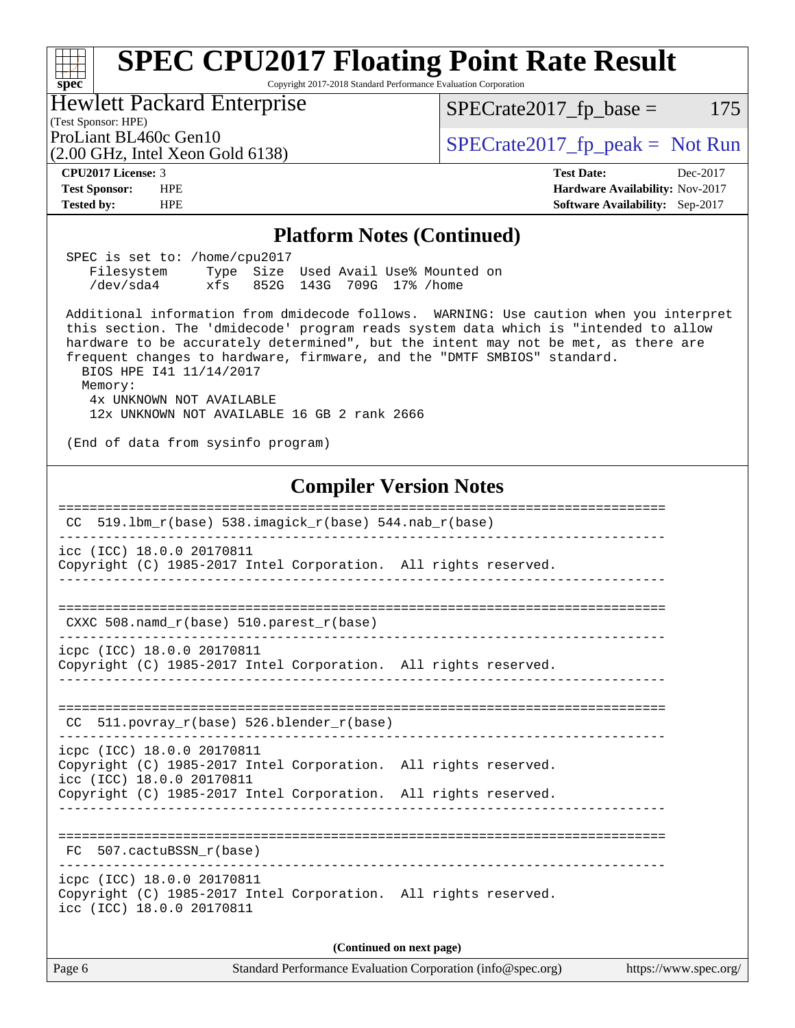| <b>SPEC CPU2017 Floating Point Rate Result</b><br>Copyright 2017-2018 Standard Performance Evaluation Corporation<br>spec <sup>®</sup>                                                                                                                                                                                                                                                                                                                                                                                                                                                                                                        |                                                                                                     |  |  |  |  |  |  |
|-----------------------------------------------------------------------------------------------------------------------------------------------------------------------------------------------------------------------------------------------------------------------------------------------------------------------------------------------------------------------------------------------------------------------------------------------------------------------------------------------------------------------------------------------------------------------------------------------------------------------------------------------|-----------------------------------------------------------------------------------------------------|--|--|--|--|--|--|
| <b>Hewlett Packard Enterprise</b><br>(Test Sponsor: HPE)                                                                                                                                                                                                                                                                                                                                                                                                                                                                                                                                                                                      | 175<br>$SPECrate2017_fp\_base =$                                                                    |  |  |  |  |  |  |
| ProLiant BL460c Gen10<br>$(2.00 \text{ GHz}, \text{Intel Xeon Gold } 6138)$                                                                                                                                                                                                                                                                                                                                                                                                                                                                                                                                                                   | $SPECrate2017fr peak = Not Run$                                                                     |  |  |  |  |  |  |
| CPU <sub>2017</sub> License: 3<br><b>Test Sponsor:</b><br><b>HPE</b><br><b>Tested by:</b><br><b>HPE</b>                                                                                                                                                                                                                                                                                                                                                                                                                                                                                                                                       | <b>Test Date:</b><br>Dec-2017<br>Hardware Availability: Nov-2017<br>Software Availability: Sep-2017 |  |  |  |  |  |  |
| <b>Platform Notes (Continued)</b>                                                                                                                                                                                                                                                                                                                                                                                                                                                                                                                                                                                                             |                                                                                                     |  |  |  |  |  |  |
| SPEC is set to: /home/cpu2017<br>Filesystem<br>Type Size Used Avail Use% Mounted on<br>/dev/sda4<br>852G 143G 709G 17% / home<br>xfs<br>Additional information from dmidecode follows. WARNING: Use caution when you interpret<br>this section. The 'dmidecode' program reads system data which is "intended to allow<br>hardware to be accurately determined", but the intent may not be met, as there are<br>frequent changes to hardware, firmware, and the "DMTF SMBIOS" standard.<br>BIOS HPE 141 11/14/2017<br>Memory:<br>4x UNKNOWN NOT AVAILABLE<br>12x UNKNOWN NOT AVAILABLE 16 GB 2 rank 2666<br>(End of data from sysinfo program) |                                                                                                     |  |  |  |  |  |  |
| <b>Compiler Version Notes</b>                                                                                                                                                                                                                                                                                                                                                                                                                                                                                                                                                                                                                 |                                                                                                     |  |  |  |  |  |  |
| 519.1bm_r(base) 538.imagick_r(base) 544.nab_r(base)<br>CC                                                                                                                                                                                                                                                                                                                                                                                                                                                                                                                                                                                     |                                                                                                     |  |  |  |  |  |  |
| icc (ICC) 18.0.0 20170811<br>Copyright (C) 1985-2017 Intel Corporation. All rights reserved.                                                                                                                                                                                                                                                                                                                                                                                                                                                                                                                                                  |                                                                                                     |  |  |  |  |  |  |
|                                                                                                                                                                                                                                                                                                                                                                                                                                                                                                                                                                                                                                               |                                                                                                     |  |  |  |  |  |  |

CXXC 508.namd\_r(base) 510.parest\_r(base)

----------------------------------------------------------------------------- icpc (ICC) 18.0.0 20170811 Copyright (C) 1985-2017 Intel Corporation. All rights reserved.

------------------------------------------------------------------------------

============================================================================== CC 511.povray\_r(base) 526.blender\_r(base)

==============================================================================

----------------------------------------------------------------------------- icpc (ICC) 18.0.0 20170811

Copyright (C) 1985-2017 Intel Corporation. All rights reserved. icc (ICC) 18.0.0 20170811

Copyright (C) 1985-2017 Intel Corporation. All rights reserved. ------------------------------------------------------------------------------

============================================================================== FC 507.cactuBSSN\_r(base)

------------------------------------------------------------------------------

icpc (ICC) 18.0.0 20170811 Copyright (C) 1985-2017 Intel Corporation. All rights reserved. icc (ICC) 18.0.0 20170811

**(Continued on next page)**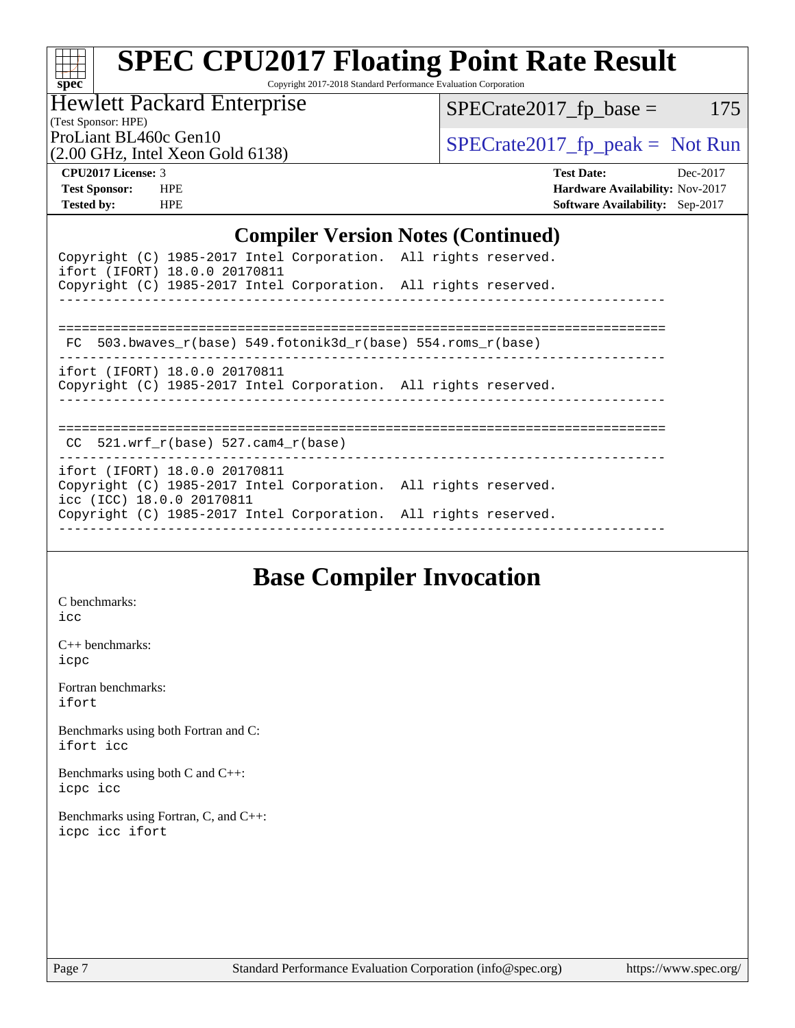# **[spec](http://www.spec.org/)**

# **[SPEC CPU2017 Floating Point Rate Result](http://www.spec.org/auto/cpu2017/Docs/result-fields.html#SPECCPU2017FloatingPointRateResult)**

Copyright 2017-2018 Standard Performance Evaluation Corporation

### Hewlett Packard Enterprise

 $SPECrate2017_fp\_base = 175$ 

(Test Sponsor: HPE)

(2.00 GHz, Intel Xeon Gold 6138)

ProLiant BL460c Gen10<br>  $\begin{array}{r} \text{SPECrate2017\_fp\_peak = Not Run} \\ \text{SPECrate2017\_fp\_peak = Not Run} \end{array}$ 

**[CPU2017 License:](http://www.spec.org/auto/cpu2017/Docs/result-fields.html#CPU2017License)** 3 **[Test Date:](http://www.spec.org/auto/cpu2017/Docs/result-fields.html#TestDate)** Dec-2017 **[Test Sponsor:](http://www.spec.org/auto/cpu2017/Docs/result-fields.html#TestSponsor)** HPE **[Hardware Availability:](http://www.spec.org/auto/cpu2017/Docs/result-fields.html#HardwareAvailability)** Nov-2017 **[Tested by:](http://www.spec.org/auto/cpu2017/Docs/result-fields.html#Testedby)** HPE **[Software Availability:](http://www.spec.org/auto/cpu2017/Docs/result-fields.html#SoftwareAvailability)** Sep-2017

#### **[Compiler Version Notes \(Continued\)](http://www.spec.org/auto/cpu2017/Docs/result-fields.html#CompilerVersionNotes)**

|                           | Copyright (C) 1985-2017 Intel Corporation. All rights reserved.<br>ifort (IFORT) 18.0.0 20170811<br>Copyright (C) 1985-2017 Intel Corporation. All rights reserved. |  |  |
|---------------------------|---------------------------------------------------------------------------------------------------------------------------------------------------------------------|--|--|
|                           |                                                                                                                                                                     |  |  |
|                           | FC 503.bwaves $r(base)$ 549.fotonik3d $r(base)$ 554.roms $r(base)$                                                                                                  |  |  |
|                           | ifort (IFORT) 18.0.0 20170811<br>Copyright (C) 1985-2017 Intel Corporation. All rights reserved.                                                                    |  |  |
|                           | CC $521.$ wrf r(base) 527.cam4 r(base)                                                                                                                              |  |  |
| icc (ICC) 18.0.0 20170811 | ifort (IFORT) 18.0.0 20170811<br>Copyright (C) 1985-2017 Intel Corporation. All rights reserved.                                                                    |  |  |
|                           | Copyright (C) 1985-2017 Intel Corporation. All rights reserved.                                                                                                     |  |  |

# **[Base Compiler Invocation](http://www.spec.org/auto/cpu2017/Docs/result-fields.html#BaseCompilerInvocation)**

[C benchmarks](http://www.spec.org/auto/cpu2017/Docs/result-fields.html#Cbenchmarks): [icc](http://www.spec.org/cpu2017/results/res2018q2/cpu2017-20171226-02330.flags.html#user_CCbase_intel_icc_18.0_66fc1ee009f7361af1fbd72ca7dcefbb700085f36577c54f309893dd4ec40d12360134090235512931783d35fd58c0460139e722d5067c5574d8eaf2b3e37e92)

[C++ benchmarks:](http://www.spec.org/auto/cpu2017/Docs/result-fields.html#CXXbenchmarks) [icpc](http://www.spec.org/cpu2017/results/res2018q2/cpu2017-20171226-02330.flags.html#user_CXXbase_intel_icpc_18.0_c510b6838c7f56d33e37e94d029a35b4a7bccf4766a728ee175e80a419847e808290a9b78be685c44ab727ea267ec2f070ec5dc83b407c0218cded6866a35d07)

[Fortran benchmarks](http://www.spec.org/auto/cpu2017/Docs/result-fields.html#Fortranbenchmarks): [ifort](http://www.spec.org/cpu2017/results/res2018q2/cpu2017-20171226-02330.flags.html#user_FCbase_intel_ifort_18.0_8111460550e3ca792625aed983ce982f94888b8b503583aa7ba2b8303487b4d8a21a13e7191a45c5fd58ff318f48f9492884d4413fa793fd88dd292cad7027ca)

[Benchmarks using both Fortran and C](http://www.spec.org/auto/cpu2017/Docs/result-fields.html#BenchmarksusingbothFortranandC): [ifort](http://www.spec.org/cpu2017/results/res2018q2/cpu2017-20171226-02330.flags.html#user_CC_FCbase_intel_ifort_18.0_8111460550e3ca792625aed983ce982f94888b8b503583aa7ba2b8303487b4d8a21a13e7191a45c5fd58ff318f48f9492884d4413fa793fd88dd292cad7027ca) [icc](http://www.spec.org/cpu2017/results/res2018q2/cpu2017-20171226-02330.flags.html#user_CC_FCbase_intel_icc_18.0_66fc1ee009f7361af1fbd72ca7dcefbb700085f36577c54f309893dd4ec40d12360134090235512931783d35fd58c0460139e722d5067c5574d8eaf2b3e37e92)

[Benchmarks using both C and C++](http://www.spec.org/auto/cpu2017/Docs/result-fields.html#BenchmarksusingbothCandCXX): [icpc](http://www.spec.org/cpu2017/results/res2018q2/cpu2017-20171226-02330.flags.html#user_CC_CXXbase_intel_icpc_18.0_c510b6838c7f56d33e37e94d029a35b4a7bccf4766a728ee175e80a419847e808290a9b78be685c44ab727ea267ec2f070ec5dc83b407c0218cded6866a35d07) [icc](http://www.spec.org/cpu2017/results/res2018q2/cpu2017-20171226-02330.flags.html#user_CC_CXXbase_intel_icc_18.0_66fc1ee009f7361af1fbd72ca7dcefbb700085f36577c54f309893dd4ec40d12360134090235512931783d35fd58c0460139e722d5067c5574d8eaf2b3e37e92)

[Benchmarks using Fortran, C, and C++:](http://www.spec.org/auto/cpu2017/Docs/result-fields.html#BenchmarksusingFortranCandCXX) [icpc](http://www.spec.org/cpu2017/results/res2018q2/cpu2017-20171226-02330.flags.html#user_CC_CXX_FCbase_intel_icpc_18.0_c510b6838c7f56d33e37e94d029a35b4a7bccf4766a728ee175e80a419847e808290a9b78be685c44ab727ea267ec2f070ec5dc83b407c0218cded6866a35d07) [icc](http://www.spec.org/cpu2017/results/res2018q2/cpu2017-20171226-02330.flags.html#user_CC_CXX_FCbase_intel_icc_18.0_66fc1ee009f7361af1fbd72ca7dcefbb700085f36577c54f309893dd4ec40d12360134090235512931783d35fd58c0460139e722d5067c5574d8eaf2b3e37e92) [ifort](http://www.spec.org/cpu2017/results/res2018q2/cpu2017-20171226-02330.flags.html#user_CC_CXX_FCbase_intel_ifort_18.0_8111460550e3ca792625aed983ce982f94888b8b503583aa7ba2b8303487b4d8a21a13e7191a45c5fd58ff318f48f9492884d4413fa793fd88dd292cad7027ca)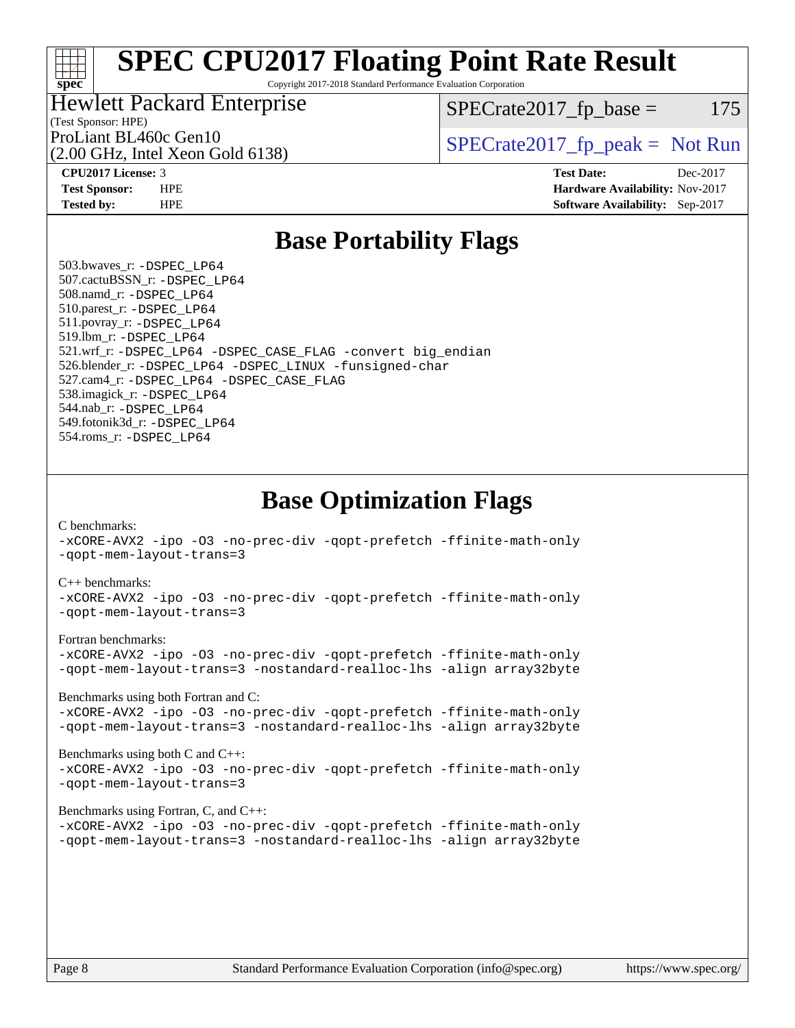#### ti h **[spec](http://www.spec.org/)**

# **[SPEC CPU2017 Floating Point Rate Result](http://www.spec.org/auto/cpu2017/Docs/result-fields.html#SPECCPU2017FloatingPointRateResult)**

Copyright 2017-2018 Standard Performance Evaluation Corporation

#### Hewlett Packard Enterprise

 $SPECTate2017<sub>fr</sub> base = 175$ 

## (Test Sponsor: HPE)

(2.00 GHz, Intel Xeon Gold 6138)

ProLiant BL460c Gen10  $\text{SPECrate2017\_fp\_peak} = \text{Not Run}$ 

**[CPU2017 License:](http://www.spec.org/auto/cpu2017/Docs/result-fields.html#CPU2017License)** 3 **[Test Date:](http://www.spec.org/auto/cpu2017/Docs/result-fields.html#TestDate)** Dec-2017 **[Test Sponsor:](http://www.spec.org/auto/cpu2017/Docs/result-fields.html#TestSponsor)** HPE **[Hardware Availability:](http://www.spec.org/auto/cpu2017/Docs/result-fields.html#HardwareAvailability)** Nov-2017 **[Tested by:](http://www.spec.org/auto/cpu2017/Docs/result-fields.html#Testedby)** HPE **[Software Availability:](http://www.spec.org/auto/cpu2017/Docs/result-fields.html#SoftwareAvailability)** Sep-2017

## **[Base Portability Flags](http://www.spec.org/auto/cpu2017/Docs/result-fields.html#BasePortabilityFlags)**

 503.bwaves\_r: [-DSPEC\\_LP64](http://www.spec.org/cpu2017/results/res2018q2/cpu2017-20171226-02330.flags.html#suite_basePORTABILITY503_bwaves_r_DSPEC_LP64) 507.cactuBSSN\_r: [-DSPEC\\_LP64](http://www.spec.org/cpu2017/results/res2018q2/cpu2017-20171226-02330.flags.html#suite_basePORTABILITY507_cactuBSSN_r_DSPEC_LP64) 508.namd\_r: [-DSPEC\\_LP64](http://www.spec.org/cpu2017/results/res2018q2/cpu2017-20171226-02330.flags.html#suite_basePORTABILITY508_namd_r_DSPEC_LP64) 510.parest\_r: [-DSPEC\\_LP64](http://www.spec.org/cpu2017/results/res2018q2/cpu2017-20171226-02330.flags.html#suite_basePORTABILITY510_parest_r_DSPEC_LP64) 511.povray\_r: [-DSPEC\\_LP64](http://www.spec.org/cpu2017/results/res2018q2/cpu2017-20171226-02330.flags.html#suite_basePORTABILITY511_povray_r_DSPEC_LP64) 519.lbm\_r: [-DSPEC\\_LP64](http://www.spec.org/cpu2017/results/res2018q2/cpu2017-20171226-02330.flags.html#suite_basePORTABILITY519_lbm_r_DSPEC_LP64) 521.wrf\_r: [-DSPEC\\_LP64](http://www.spec.org/cpu2017/results/res2018q2/cpu2017-20171226-02330.flags.html#suite_basePORTABILITY521_wrf_r_DSPEC_LP64) [-DSPEC\\_CASE\\_FLAG](http://www.spec.org/cpu2017/results/res2018q2/cpu2017-20171226-02330.flags.html#b521.wrf_r_baseCPORTABILITY_DSPEC_CASE_FLAG) [-convert big\\_endian](http://www.spec.org/cpu2017/results/res2018q2/cpu2017-20171226-02330.flags.html#user_baseFPORTABILITY521_wrf_r_convert_big_endian_c3194028bc08c63ac5d04de18c48ce6d347e4e562e8892b8bdbdc0214820426deb8554edfa529a3fb25a586e65a3d812c835984020483e7e73212c4d31a38223) 526.blender\_r: [-DSPEC\\_LP64](http://www.spec.org/cpu2017/results/res2018q2/cpu2017-20171226-02330.flags.html#suite_basePORTABILITY526_blender_r_DSPEC_LP64) [-DSPEC\\_LINUX](http://www.spec.org/cpu2017/results/res2018q2/cpu2017-20171226-02330.flags.html#b526.blender_r_baseCPORTABILITY_DSPEC_LINUX) [-funsigned-char](http://www.spec.org/cpu2017/results/res2018q2/cpu2017-20171226-02330.flags.html#user_baseCPORTABILITY526_blender_r_force_uchar_40c60f00ab013830e2dd6774aeded3ff59883ba5a1fc5fc14077f794d777847726e2a5858cbc7672e36e1b067e7e5c1d9a74f7176df07886a243d7cc18edfe67) 527.cam4\_r: [-DSPEC\\_LP64](http://www.spec.org/cpu2017/results/res2018q2/cpu2017-20171226-02330.flags.html#suite_basePORTABILITY527_cam4_r_DSPEC_LP64) [-DSPEC\\_CASE\\_FLAG](http://www.spec.org/cpu2017/results/res2018q2/cpu2017-20171226-02330.flags.html#b527.cam4_r_baseCPORTABILITY_DSPEC_CASE_FLAG) 538.imagick\_r: [-DSPEC\\_LP64](http://www.spec.org/cpu2017/results/res2018q2/cpu2017-20171226-02330.flags.html#suite_basePORTABILITY538_imagick_r_DSPEC_LP64) 544.nab\_r: [-DSPEC\\_LP64](http://www.spec.org/cpu2017/results/res2018q2/cpu2017-20171226-02330.flags.html#suite_basePORTABILITY544_nab_r_DSPEC_LP64) 549.fotonik3d\_r: [-DSPEC\\_LP64](http://www.spec.org/cpu2017/results/res2018q2/cpu2017-20171226-02330.flags.html#suite_basePORTABILITY549_fotonik3d_r_DSPEC_LP64) 554.roms\_r: [-DSPEC\\_LP64](http://www.spec.org/cpu2017/results/res2018q2/cpu2017-20171226-02330.flags.html#suite_basePORTABILITY554_roms_r_DSPEC_LP64)

## **[Base Optimization Flags](http://www.spec.org/auto/cpu2017/Docs/result-fields.html#BaseOptimizationFlags)**

[C benchmarks](http://www.spec.org/auto/cpu2017/Docs/result-fields.html#Cbenchmarks):

[-xCORE-AVX2](http://www.spec.org/cpu2017/results/res2018q2/cpu2017-20171226-02330.flags.html#user_CCbase_f-xCORE-AVX2) [-ipo](http://www.spec.org/cpu2017/results/res2018q2/cpu2017-20171226-02330.flags.html#user_CCbase_f-ipo) [-O3](http://www.spec.org/cpu2017/results/res2018q2/cpu2017-20171226-02330.flags.html#user_CCbase_f-O3) [-no-prec-div](http://www.spec.org/cpu2017/results/res2018q2/cpu2017-20171226-02330.flags.html#user_CCbase_f-no-prec-div) [-qopt-prefetch](http://www.spec.org/cpu2017/results/res2018q2/cpu2017-20171226-02330.flags.html#user_CCbase_f-qopt-prefetch) [-ffinite-math-only](http://www.spec.org/cpu2017/results/res2018q2/cpu2017-20171226-02330.flags.html#user_CCbase_f_finite_math_only_cb91587bd2077682c4b38af759c288ed7c732db004271a9512da14a4f8007909a5f1427ecbf1a0fb78ff2a814402c6114ac565ca162485bbcae155b5e4258871) [-qopt-mem-layout-trans=3](http://www.spec.org/cpu2017/results/res2018q2/cpu2017-20171226-02330.flags.html#user_CCbase_f-qopt-mem-layout-trans_de80db37974c74b1f0e20d883f0b675c88c3b01e9d123adea9b28688d64333345fb62bc4a798493513fdb68f60282f9a726aa07f478b2f7113531aecce732043)

#### [C++ benchmarks:](http://www.spec.org/auto/cpu2017/Docs/result-fields.html#CXXbenchmarks)

[-xCORE-AVX2](http://www.spec.org/cpu2017/results/res2018q2/cpu2017-20171226-02330.flags.html#user_CXXbase_f-xCORE-AVX2) [-ipo](http://www.spec.org/cpu2017/results/res2018q2/cpu2017-20171226-02330.flags.html#user_CXXbase_f-ipo) [-O3](http://www.spec.org/cpu2017/results/res2018q2/cpu2017-20171226-02330.flags.html#user_CXXbase_f-O3) [-no-prec-div](http://www.spec.org/cpu2017/results/res2018q2/cpu2017-20171226-02330.flags.html#user_CXXbase_f-no-prec-div) [-qopt-prefetch](http://www.spec.org/cpu2017/results/res2018q2/cpu2017-20171226-02330.flags.html#user_CXXbase_f-qopt-prefetch) [-ffinite-math-only](http://www.spec.org/cpu2017/results/res2018q2/cpu2017-20171226-02330.flags.html#user_CXXbase_f_finite_math_only_cb91587bd2077682c4b38af759c288ed7c732db004271a9512da14a4f8007909a5f1427ecbf1a0fb78ff2a814402c6114ac565ca162485bbcae155b5e4258871) [-qopt-mem-layout-trans=3](http://www.spec.org/cpu2017/results/res2018q2/cpu2017-20171226-02330.flags.html#user_CXXbase_f-qopt-mem-layout-trans_de80db37974c74b1f0e20d883f0b675c88c3b01e9d123adea9b28688d64333345fb62bc4a798493513fdb68f60282f9a726aa07f478b2f7113531aecce732043)

#### [Fortran benchmarks](http://www.spec.org/auto/cpu2017/Docs/result-fields.html#Fortranbenchmarks):

[-xCORE-AVX2](http://www.spec.org/cpu2017/results/res2018q2/cpu2017-20171226-02330.flags.html#user_FCbase_f-xCORE-AVX2) [-ipo](http://www.spec.org/cpu2017/results/res2018q2/cpu2017-20171226-02330.flags.html#user_FCbase_f-ipo) [-O3](http://www.spec.org/cpu2017/results/res2018q2/cpu2017-20171226-02330.flags.html#user_FCbase_f-O3) [-no-prec-div](http://www.spec.org/cpu2017/results/res2018q2/cpu2017-20171226-02330.flags.html#user_FCbase_f-no-prec-div) [-qopt-prefetch](http://www.spec.org/cpu2017/results/res2018q2/cpu2017-20171226-02330.flags.html#user_FCbase_f-qopt-prefetch) [-ffinite-math-only](http://www.spec.org/cpu2017/results/res2018q2/cpu2017-20171226-02330.flags.html#user_FCbase_f_finite_math_only_cb91587bd2077682c4b38af759c288ed7c732db004271a9512da14a4f8007909a5f1427ecbf1a0fb78ff2a814402c6114ac565ca162485bbcae155b5e4258871) [-qopt-mem-layout-trans=3](http://www.spec.org/cpu2017/results/res2018q2/cpu2017-20171226-02330.flags.html#user_FCbase_f-qopt-mem-layout-trans_de80db37974c74b1f0e20d883f0b675c88c3b01e9d123adea9b28688d64333345fb62bc4a798493513fdb68f60282f9a726aa07f478b2f7113531aecce732043) [-nostandard-realloc-lhs](http://www.spec.org/cpu2017/results/res2018q2/cpu2017-20171226-02330.flags.html#user_FCbase_f_2003_std_realloc_82b4557e90729c0f113870c07e44d33d6f5a304b4f63d4c15d2d0f1fab99f5daaed73bdb9275d9ae411527f28b936061aa8b9c8f2d63842963b95c9dd6426b8a) [-align array32byte](http://www.spec.org/cpu2017/results/res2018q2/cpu2017-20171226-02330.flags.html#user_FCbase_align_array32byte_b982fe038af199962ba9a80c053b8342c548c85b40b8e86eb3cc33dee0d7986a4af373ac2d51c3f7cf710a18d62fdce2948f201cd044323541f22fc0fffc51b6)

[Benchmarks using both Fortran and C](http://www.spec.org/auto/cpu2017/Docs/result-fields.html#BenchmarksusingbothFortranandC):

[-xCORE-AVX2](http://www.spec.org/cpu2017/results/res2018q2/cpu2017-20171226-02330.flags.html#user_CC_FCbase_f-xCORE-AVX2) [-ipo](http://www.spec.org/cpu2017/results/res2018q2/cpu2017-20171226-02330.flags.html#user_CC_FCbase_f-ipo) [-O3](http://www.spec.org/cpu2017/results/res2018q2/cpu2017-20171226-02330.flags.html#user_CC_FCbase_f-O3) [-no-prec-div](http://www.spec.org/cpu2017/results/res2018q2/cpu2017-20171226-02330.flags.html#user_CC_FCbase_f-no-prec-div) [-qopt-prefetch](http://www.spec.org/cpu2017/results/res2018q2/cpu2017-20171226-02330.flags.html#user_CC_FCbase_f-qopt-prefetch) [-ffinite-math-only](http://www.spec.org/cpu2017/results/res2018q2/cpu2017-20171226-02330.flags.html#user_CC_FCbase_f_finite_math_only_cb91587bd2077682c4b38af759c288ed7c732db004271a9512da14a4f8007909a5f1427ecbf1a0fb78ff2a814402c6114ac565ca162485bbcae155b5e4258871) [-qopt-mem-layout-trans=3](http://www.spec.org/cpu2017/results/res2018q2/cpu2017-20171226-02330.flags.html#user_CC_FCbase_f-qopt-mem-layout-trans_de80db37974c74b1f0e20d883f0b675c88c3b01e9d123adea9b28688d64333345fb62bc4a798493513fdb68f60282f9a726aa07f478b2f7113531aecce732043) [-nostandard-realloc-lhs](http://www.spec.org/cpu2017/results/res2018q2/cpu2017-20171226-02330.flags.html#user_CC_FCbase_f_2003_std_realloc_82b4557e90729c0f113870c07e44d33d6f5a304b4f63d4c15d2d0f1fab99f5daaed73bdb9275d9ae411527f28b936061aa8b9c8f2d63842963b95c9dd6426b8a) [-align array32byte](http://www.spec.org/cpu2017/results/res2018q2/cpu2017-20171226-02330.flags.html#user_CC_FCbase_align_array32byte_b982fe038af199962ba9a80c053b8342c548c85b40b8e86eb3cc33dee0d7986a4af373ac2d51c3f7cf710a18d62fdce2948f201cd044323541f22fc0fffc51b6)

[Benchmarks using both C and C++](http://www.spec.org/auto/cpu2017/Docs/result-fields.html#BenchmarksusingbothCandCXX): [-xCORE-AVX2](http://www.spec.org/cpu2017/results/res2018q2/cpu2017-20171226-02330.flags.html#user_CC_CXXbase_f-xCORE-AVX2) [-ipo](http://www.spec.org/cpu2017/results/res2018q2/cpu2017-20171226-02330.flags.html#user_CC_CXXbase_f-ipo) [-O3](http://www.spec.org/cpu2017/results/res2018q2/cpu2017-20171226-02330.flags.html#user_CC_CXXbase_f-O3) [-no-prec-div](http://www.spec.org/cpu2017/results/res2018q2/cpu2017-20171226-02330.flags.html#user_CC_CXXbase_f-no-prec-div) [-qopt-prefetch](http://www.spec.org/cpu2017/results/res2018q2/cpu2017-20171226-02330.flags.html#user_CC_CXXbase_f-qopt-prefetch) [-ffinite-math-only](http://www.spec.org/cpu2017/results/res2018q2/cpu2017-20171226-02330.flags.html#user_CC_CXXbase_f_finite_math_only_cb91587bd2077682c4b38af759c288ed7c732db004271a9512da14a4f8007909a5f1427ecbf1a0fb78ff2a814402c6114ac565ca162485bbcae155b5e4258871) [-qopt-mem-layout-trans=3](http://www.spec.org/cpu2017/results/res2018q2/cpu2017-20171226-02330.flags.html#user_CC_CXXbase_f-qopt-mem-layout-trans_de80db37974c74b1f0e20d883f0b675c88c3b01e9d123adea9b28688d64333345fb62bc4a798493513fdb68f60282f9a726aa07f478b2f7113531aecce732043)

#### [Benchmarks using Fortran, C, and C++:](http://www.spec.org/auto/cpu2017/Docs/result-fields.html#BenchmarksusingFortranCandCXX)

[-xCORE-AVX2](http://www.spec.org/cpu2017/results/res2018q2/cpu2017-20171226-02330.flags.html#user_CC_CXX_FCbase_f-xCORE-AVX2) [-ipo](http://www.spec.org/cpu2017/results/res2018q2/cpu2017-20171226-02330.flags.html#user_CC_CXX_FCbase_f-ipo) [-O3](http://www.spec.org/cpu2017/results/res2018q2/cpu2017-20171226-02330.flags.html#user_CC_CXX_FCbase_f-O3) [-no-prec-div](http://www.spec.org/cpu2017/results/res2018q2/cpu2017-20171226-02330.flags.html#user_CC_CXX_FCbase_f-no-prec-div) [-qopt-prefetch](http://www.spec.org/cpu2017/results/res2018q2/cpu2017-20171226-02330.flags.html#user_CC_CXX_FCbase_f-qopt-prefetch) [-ffinite-math-only](http://www.spec.org/cpu2017/results/res2018q2/cpu2017-20171226-02330.flags.html#user_CC_CXX_FCbase_f_finite_math_only_cb91587bd2077682c4b38af759c288ed7c732db004271a9512da14a4f8007909a5f1427ecbf1a0fb78ff2a814402c6114ac565ca162485bbcae155b5e4258871) [-qopt-mem-layout-trans=3](http://www.spec.org/cpu2017/results/res2018q2/cpu2017-20171226-02330.flags.html#user_CC_CXX_FCbase_f-qopt-mem-layout-trans_de80db37974c74b1f0e20d883f0b675c88c3b01e9d123adea9b28688d64333345fb62bc4a798493513fdb68f60282f9a726aa07f478b2f7113531aecce732043) [-nostandard-realloc-lhs](http://www.spec.org/cpu2017/results/res2018q2/cpu2017-20171226-02330.flags.html#user_CC_CXX_FCbase_f_2003_std_realloc_82b4557e90729c0f113870c07e44d33d6f5a304b4f63d4c15d2d0f1fab99f5daaed73bdb9275d9ae411527f28b936061aa8b9c8f2d63842963b95c9dd6426b8a) [-align array32byte](http://www.spec.org/cpu2017/results/res2018q2/cpu2017-20171226-02330.flags.html#user_CC_CXX_FCbase_align_array32byte_b982fe038af199962ba9a80c053b8342c548c85b40b8e86eb3cc33dee0d7986a4af373ac2d51c3f7cf710a18d62fdce2948f201cd044323541f22fc0fffc51b6)